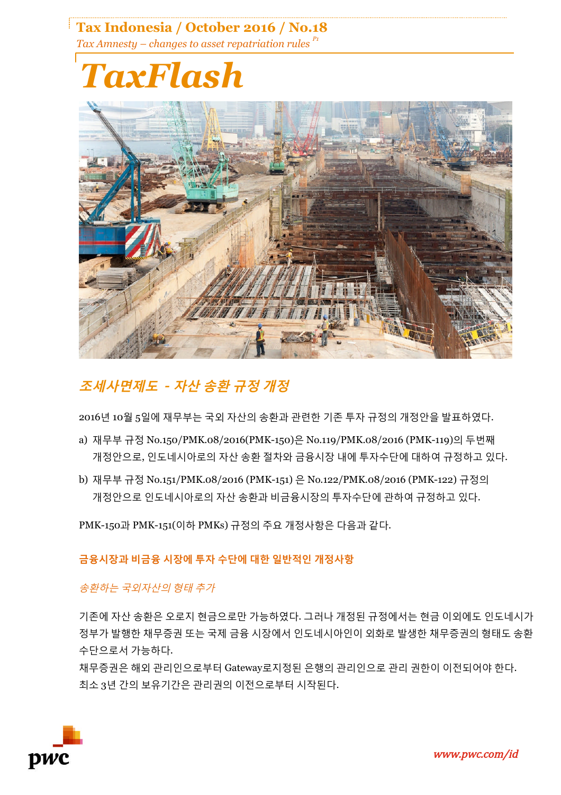**Tax Indonesia / October 2016 / No.18** *Tax Amnesty – changes to asset repatriation rules P1*

# *TaxFlash*



## **조세사면제도** *-* **자산 송환 규정 개정**

2016년 10월 5일에 재무부는 국외 자산의 송환과 관련한 기존 투자 규정의 개정안을 발표하였다.

- a) 재무부 규정 No.150/PMK.08/2016(PMK-150)은 No.119/PMK.08/2016 (PMK-119)의 두번째 개정안으로, 인도네시아로의 자산 송환 절차와 금융시장 내에 투자수단에 대하여 규정하고 있다.
- b) 재무부 규정 No.151/PMK.08/2016 (PMK-151) 은 No.122/PMK.08/2016 (PMK-122) 규정의 개정안으로 인도네시아로의 자산 송환과 비금융시장의 투자수단에 관하여 규정하고 있다.

PMK-150과 PMK-151(이하 PMKs) 규정의 주요 개정사항은 다음과 같다.

**금융시장과 비금융 시장에 투자 수단에 대한 일반적인 개정사항**

송환하는 국외자산의 형태 추가

기존에 자산 송환은 오로지 현금으로만 가능하였다. 그러나 개정된 규정에서는 현금 이외에도 인도네시가 정부가 발행한 채무증권 또는 국제 금융 시장에서 인도네시아인이 외화로 발생한 채무증권의 형태도 송환 수단으로서 가능하다.

채무증권은 해외 관리인으로부터 Gateway로지정된 은행의 관리인으로 관리 권한이 이전되어야 한다. 최소 3년 간의 보유기간은 관리권의 이전으로부터 시작된다.

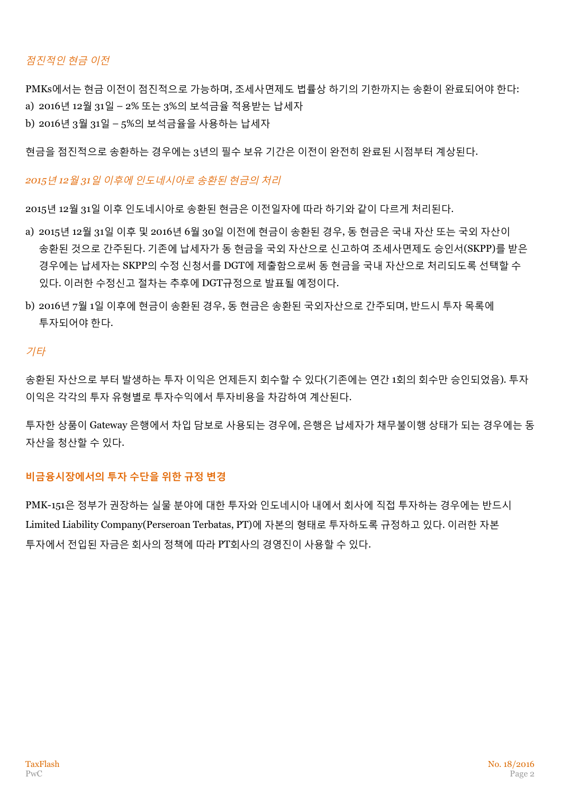### 점진적인 현금 이전

PMKs에서는 현금 이전이 점진적으로 가능하며, 조세사면제도 법률상 하기의 기한까지는 송환이 완료되어야 한다: a) 2016년 12월 31일 – 2% 또는 3%의 보석금율 적용받는 납세자

b) 2016년 3월 31일 – 5%의 보석금율을 사용하는 납세자

현금을 점진적으로 송환하는 경우에는 3년의 필수 보유 기간은 이전이 완전히 완료된 시점부터 계상된다.

*2015*년 *12*월 *31*일 이후에 인도네시아로 송환된 현금의 처리

2015년 12월 31일 이후 인도네시아로 송환된 현금은 이전일자에 따라 하기와 같이 다르게 처리된다.

- a) 2015년 12월 31일 이후 및 2016년 6월 30일 이전에 현금이 송환된 경우, 동 현금은 국내 자산 또는 국외 자산이 송환된 것으로 간주된다. 기존에 납세자가 동 현금을 국외 자산으로 신고하여 조세사면제도 승인서(SKPP)를 받은 경우에는 납세자는 SKPP의 수정 신청서를 DGT에 제출함으로써 동 현금을 국내 자산으로 처리되도록 선택할 수 있다. 이러한 수정신고 절차는 추후에 DGT규정으로 발표될 예정이다.
- b) 2016년 7월 1일 이후에 현금이 송환된 경우, 동 현금은 송환된 국외자산으로 간주되며, 반드시 투자 목록에 투자되어야 한다.

#### 기타

송환된 자산으로 부터 발생하는 투자 이익은 언제든지 회수할 수 있다(기존에는 연간 1회의 회수만 승인되었음). 투자 이익은 각각의 투자 유형별로 투자수익에서 투자비용을 차감하여 계산된다.

투자한 상품이 Gateway 은행에서 차입 담보로 사용되는 경우에, 은행은 납세자가 채무불이행 상태가 되는 경우에는 동 자산을 청산할 수 있다.

#### **비금융시장에서의 투자 수단을 위한 규정 변경**

PMK-151은 정부가 권장하는 실물 분야에 대한 투자와 인도네시아 내에서 회사에 직접 투자하는 경우에는 반드시 Limited Liability Company(Perseroan Terbatas, PT)에 자본의 형태로 투자하도록 규정하고 있다. 이러한 자본 투자에서 전입된 자금은 회사의 정책에 따라 PT회사의 경영진이 사용할 수 있다.